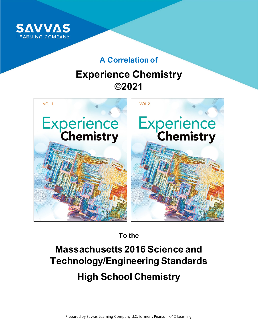

# **A Correlation of**

# **Experience Chemistry ©2021**



**To the**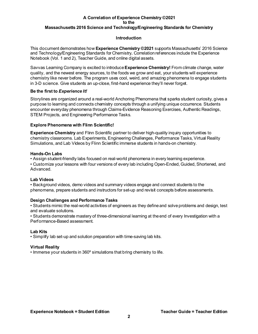#### **Introduction**

This document demonstrates how **Experience Chemistry ©2021** supports Massachusetts' 2016 Science and Technology/Engineering Standards for Chemistry**.** Correlation references include the Experience Notebook (Vol. 1 and 2), Teacher Guide, and online digital assets.

Savvas Learning Company is excited to introduce **Experience Chemistry!** From climate change, water quality, and the newest energy sources, to the foods we grow and eat, your students will experience chemistry like never before. The program uses cool, weird, and amazing phenomena to engage students in 3-D science. Give students an up-close, first-hand experience they'll never forget.

#### **Be the first to** *Experience It!*

Storylines are organized around a real-world Anchoring Phenomena that sparks student curiosity, gives a purpose to learning and connects chemistry concepts through a unifying unique occurrence. Students encounter everyday phenomena through Claims-Evidence Reasoning Exercises, Authentic Readings, STEM Projects, and Engineering Performance Tasks.

#### **Explore Phenomena with Flinn Scientific!**

**Experience Chemistry** and Flinn Scientific partner to deliver high-quality inquiry opportunities to chemistry classrooms. Lab Experiments, Engineering Challenges, Performance Tasks, Virtual Reality Simulations, and Lab Videos by Flinn Scientific immerse students in hands-on chemistry.

#### **Hands-On Labs**

• Assign student-friendly labs focused on real-world phenomena in every learning experience.

• Customize your lessons with four versions of every lab including Open-Ended, Guided, Shortened, and Advanced.

#### **Lab Videos**

• Background videos, demo videos and summary videos engage and connect students to the phenomena, prepare students and instructors for set-up and revisit concepts before assessments.

#### **Design Challenges and Performance Tasks**

• Students mimic the real-world activities of engineers as they define and solve problems and design, test and evaluate solutions.

• Students demonstrate mastery of three-dimensional learning at the end of every Investigation with a Performance-Based assessment.

#### **Lab Kits**

• Simplify lab set-up and solution preparation with time-saving lab kits.

#### **Virtual Reality**

• Immerse your students in 360º simulations that bring chemistry to life.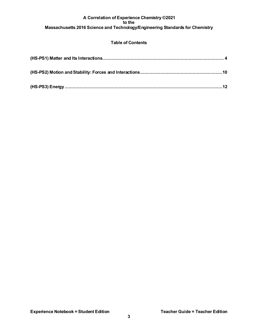### **Table of Contents**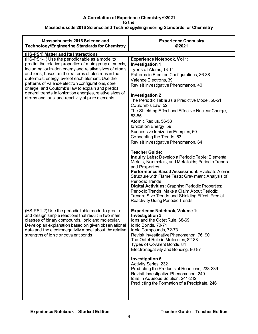| Massachusetts 2016 Science and<br><b>Technology/Engineering Standards for Chemistry</b>                                                                                                                                                                                                                                                                                                                                                                                                                                                          | <b>Experience Chemistry</b><br>©2021                                                                                                                                                                                                                                                                                                                                                                                                                                                                                                                                                                                                                                                                                                                                                                                                                                                                                                                                                                                           |
|--------------------------------------------------------------------------------------------------------------------------------------------------------------------------------------------------------------------------------------------------------------------------------------------------------------------------------------------------------------------------------------------------------------------------------------------------------------------------------------------------------------------------------------------------|--------------------------------------------------------------------------------------------------------------------------------------------------------------------------------------------------------------------------------------------------------------------------------------------------------------------------------------------------------------------------------------------------------------------------------------------------------------------------------------------------------------------------------------------------------------------------------------------------------------------------------------------------------------------------------------------------------------------------------------------------------------------------------------------------------------------------------------------------------------------------------------------------------------------------------------------------------------------------------------------------------------------------------|
| (HS-PS1) Matter and Its Interactions<br>(HS-PS1-1) Use the periodic table as a model to<br>predict the relative properties of main group elements,<br>including ionization energy and relative sizes of atoms<br>and ions, based on the patterns of electrons in the<br>outermost energy level of each element. Use the<br>patterns of valence electron configurations, core<br>charge, and Coulomb's law to explain and predict<br>general trends in ionization energies, relative sizes of<br>atoms and ions, and reactivity of pure elements. | <b>Experience Notebook, Vol 1:</b><br><b>Investigation 1</b><br>Types of Atoms, 13-14<br>Patterns in Electron Configurations, 36-38<br>Valence Electrons, 39<br>Revisit Investigative Phenomenon, 40<br><b>Investigation 2</b><br>The Periodic Table as a Predictive Model, 50-51<br>Coulomb's Law, 52<br>The Shielding Effect and Effective Nuclear Charge,<br>53-55<br>Atomic Radius, 56-58<br>lonization Energy, 59<br>Successive lonization Energies, 60<br>Connecting the Trends, 63<br>Revisit Investigative Phenomenon, 64<br><b>Teacher Guide:</b><br>Inquiry Labs: Develop a Periodic Table; Elemental<br>Metals, Nonmetals, and Metalloids; Periodic Trends<br>and Properties<br>Performance Based Assessment: Evaluate Atomic<br>Structure with Flame Tests; Gravimetric Analysis of<br><b>Periodic Trends</b><br><b>Digital Activities: Graphing Periodic Properties;</b><br>Periodic Trends; Make a Claim About Periodic<br>Trends; Size Trends and Shielding Effect; Predict<br>Reactivity Using Periodic Trends |
| (HS-PS1-2) Use the periodic table model to predict<br>and design simple reactions that result in two main<br>classes of binary compounds, ionic and molecular.<br>Develop an explanation based on given observational<br>data and the electronegativity model about the relative<br>strengths of ionic or covalent bonds.                                                                                                                                                                                                                        | <b>Experience Notebook, Volume 1:</b><br><b>Investigation 3</b><br>lons and the Octet Rule, 68-69<br>Ionic Bonds, 70-71<br>Ionic Compounds, 72-73<br>Revisit Investigative Phenomenon, 76, 90<br>The Octet Rule in Molecules, 82-83<br>Types of Covalent Bonds, 84<br>Electronegativity and Bonding, 86-87<br>Investigation 6<br><b>Activity Series, 232</b><br>Predicting the Products of Reactions, 238-239<br>Revisit Investigative Phenomenon, 240<br>lons in Aqueous Solution, 241-242<br>Predicting the Formation of a Precipitate, 246                                                                                                                                                                                                                                                                                                                                                                                                                                                                                  |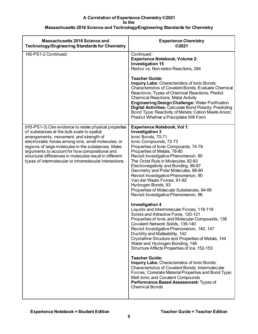| <b>Massachusetts 2016 Science and</b><br><b>Technology/Engineering Standards for Chemistry</b>                                                                                                                                                                                                                                                                                                                                        | <b>Experience Chemistry</b><br>©2021                                                                                                                                                                                                                                                                                                                                                                                                                                                                                                                                                                                                                                                                                                                                                                                                                                                                                                                                                                                                                                                                                                                                                                                                                                 |
|---------------------------------------------------------------------------------------------------------------------------------------------------------------------------------------------------------------------------------------------------------------------------------------------------------------------------------------------------------------------------------------------------------------------------------------|----------------------------------------------------------------------------------------------------------------------------------------------------------------------------------------------------------------------------------------------------------------------------------------------------------------------------------------------------------------------------------------------------------------------------------------------------------------------------------------------------------------------------------------------------------------------------------------------------------------------------------------------------------------------------------------------------------------------------------------------------------------------------------------------------------------------------------------------------------------------------------------------------------------------------------------------------------------------------------------------------------------------------------------------------------------------------------------------------------------------------------------------------------------------------------------------------------------------------------------------------------------------|
| HS-PS1-2 Continued:                                                                                                                                                                                                                                                                                                                                                                                                                   | Continued:<br><b>Experience Notebook, Volume 2:</b><br><b>Investigation 15</b><br>Redox vs. Non-redox Reactions, 284<br><b>Teacher Guide:</b><br><b>Inquiry Labs: Characteristics of lonic Bonds;</b><br>Characteristics of Covalent Bonds; Evaluate Chemical<br>Reactions; Types of Chemical Reactions; Predict<br><b>Chemical Reactions; Metal Activity</b><br><b>Engineering Design Challenge: Water Purification</b><br>Digital Activities: Calculate Bond Polarity; Predicting<br>Bond Type; Reactivity of Metals; Cation Meets Anion;<br>Predict Whether a Precipitate Will Form                                                                                                                                                                                                                                                                                                                                                                                                                                                                                                                                                                                                                                                                               |
| (HS-PS1-3) Cite evidence to relate physical properties<br>of substances at the bulk scale to spatial<br>arrangements, movement, and strength of<br>electrostatic forces among ions, small molecules, or<br>regions of large molecules in the substances. Make<br>arguments to account for how compositional and<br>structural differences in molecules result in different<br>types of intermolecular or intramolecular interactions. | <b>Experience Notebook, Vol 1:</b><br><b>Investigation 3</b><br>Ionic Bonds, 70-71<br>Ionic Compounds, 72-73<br>Properties of Ionic Compounds, 74-76<br>Properties of Metals, 78-80<br>Revisit Investigative Phenomenon, 80<br>The Octet Rule in Molecules, 82-83<br>Electronegativity and Bonding, 86-87<br>Geometry and Polar Molecules, 88-90<br>Revisit Investigative Phenomenon, 90<br>Van der Waals Forces, 91-92<br>Hydrogen Bonds, 93<br>Properties of Molecular Substances, 94-95<br>Revisit Investigative Phenomenon, 96<br><b>Investigation 4</b><br>Liquids and Intermolecular Forces, 118-119<br>Solids and Attractive Force, 120-121<br>Properties of Ionic and Molecular Compounds, 138<br>Covalent Network Solids, 139-140<br>Revisit Investigative Phenomenon, 140, 147<br>Ductility and Malleability, 142<br>Crystalline Structure and Properties of Metals, 144<br>Water and Hydrogen Bonding, 148<br>Structure Affects Properties of Ice, 152-153<br><b>Teacher Guide:</b><br>Inquiry Labs: Characteristics of Ionic Bonds;<br>Characteristics of Covalent Bonds; Intermolecular<br>Forces; Correlate Material Properties and Bond Type;<br>Melt lonic and Covalent Compounds<br>Performance Based Assessment: Types of<br><b>Chemical Bonds</b> |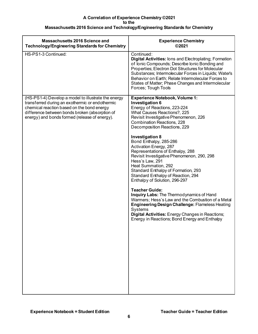| Massachusetts 2016 Science and<br><b>Technology/Engineering Standards for Chemistry</b>                                                                                                                                                                 | <b>Experience Chemistry</b><br>©2021                                                                                                                                                                                                                                                                                                                                                                                                                                                                                                                                                                                                                                                                                                                                                                                                                                     |
|---------------------------------------------------------------------------------------------------------------------------------------------------------------------------------------------------------------------------------------------------------|--------------------------------------------------------------------------------------------------------------------------------------------------------------------------------------------------------------------------------------------------------------------------------------------------------------------------------------------------------------------------------------------------------------------------------------------------------------------------------------------------------------------------------------------------------------------------------------------------------------------------------------------------------------------------------------------------------------------------------------------------------------------------------------------------------------------------------------------------------------------------|
| HS-PS1-3 Continued:                                                                                                                                                                                                                                     | Continued:<br><b>Digital Activities: lons and Electroplating; Formation</b><br>of Ionic Compounds; Describe Ionic Bonding and<br>Properties; Electron Dot Structures for Molecular<br>Substances; Intermolecular Forces in Liquids; Water's<br>Behavior on Earth; Relate Intermolecular Forces to<br>States of Matter; Phase Changes and Intermolecular<br>Forces; Tough Tools                                                                                                                                                                                                                                                                                                                                                                                                                                                                                           |
| (HS-PS1-4) Develop a model to illustrate the energy<br>transferred during an exothermic or endothermic<br>chemical reaction based on the bond energy<br>difference between bonds broken (absorption of<br>energy) and bonds formed (release of energy). | <b>Experience Notebook, Volume 1:</b><br><b>Investigation 6</b><br>Energy of Reactions, 223-224<br>What Causes Reactions?, 225<br>Revisit Investigative Phenomenon, 226<br><b>Combination Reactions, 228</b><br>Decomposition Reactions, 229<br><b>Investigation 8</b><br>Bond Enthalpy, 285-286<br>Activation Energy, 287<br>Representations of Enthalpy, 288<br>Revisit Investigative Phenomenon, 290, 298<br>Hess's Law, 291<br>Heat Summation, 292<br>Standard Enthalpy of Formation, 293<br>Standard Enthalpy of Reaction, 294<br>Enthalpy of Solution, 296-297<br><b>Teacher Guide:</b><br>Inquiry Labs: The Thermodynamics of Hand<br>Warmers; Hess's Law and the Combustion of a Metal<br><b>Engineering Design Challenge: Flameless Heating</b><br>Systems<br>Digital Activities: Energy Changes in Reactions;<br>Energy in Reactions; Bond Energy and Enthalpy |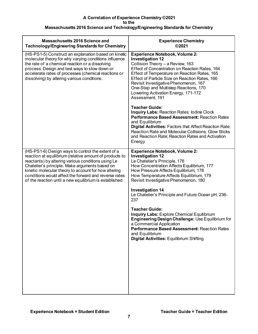| Massachusetts 2016 Science and<br><b>Technology/Engineering Standards for Chemistry</b>                                                                                                                                                                                                                                                                                                          | <b>Experience Chemistry</b><br>©2021                                                                                                                                                                                                                                                                                                                                                                                                                                                                                                                                                                                                                                                                                                               |
|--------------------------------------------------------------------------------------------------------------------------------------------------------------------------------------------------------------------------------------------------------------------------------------------------------------------------------------------------------------------------------------------------|----------------------------------------------------------------------------------------------------------------------------------------------------------------------------------------------------------------------------------------------------------------------------------------------------------------------------------------------------------------------------------------------------------------------------------------------------------------------------------------------------------------------------------------------------------------------------------------------------------------------------------------------------------------------------------------------------------------------------------------------------|
| (HS-PS1-5) Construct an explanation based on kinetic<br>molecular theory for why varying conditions influence<br>the rate of a chemical reaction or a dissolving<br>process. Design and test ways to slow down or<br>accelerate rates of processes (chemical reactions or<br>dissolving) by altering various conditions.                                                                         | <b>Experience Notebook, Volume 2:</b><br><b>Investigation 12</b><br>Collision Theory - a Review, 163<br>Effect of Concentration on Reaction Rates, 164<br>Effect of Temperature on Reaction Rates, 165<br>Effect of Particle Size on Reaction Rates, 166<br>Revisit Investigative Phenomenon, 167<br>One-Step and Multistep Reactions, 170<br>Lowering Activation Energy, 171-172<br>Assessment, 191<br><b>Teacher Guide:</b><br><b>Inquiry Labs: Reaction Rates: Iodine Clock</b><br><b>Performance Based Assessment: Reaction Rates</b><br>and Equilibrium<br><b>Digital Activities: Factors that Affect Reaction Rate;</b><br>Reaction Rate and Molecular Collisions; Glow Sticks<br>and Reaction Rate; Reaction Rates and Activation<br>Energy |
| (HS-PS1-6) Design ways to control the extent of a<br>reaction at equilibrium (relative amount of products to<br>reactants) by altering various conditions using Le<br>Chatelier's principle. Make arguments based on<br>kinetic molecular theory to account for how altering<br>conditions would affect the forward and reverse rates<br>of the reaction until a new equilibrium is established. | <b>Experience Notebook, Volume 2:</b><br><b>Investigation 12</b><br>Le Chatelier's Principle, 176<br>How Concentration Affects Equilibrium, 177<br>How Pressure Affects Equilibrium, 178<br>How Temperature Affects Equilibrium, 179<br>Revisit Investigative Phenomenon, 180<br><b>Investigation 14</b><br>Le Chatelier's Principle and Future Ocean pH, 236-<br>237<br><b>Teacher Guide:</b><br><b>Inquiry Labs: Explore Chemical Equilibrium</b><br>Engineering Design Challenge: Use Equilibrium for<br>a Commercial Application<br><b>Performance Based Assessment: Reaction Rates</b><br>and Equilibrium<br>Digital Activities: Equilibrium Shifting                                                                                         |
|                                                                                                                                                                                                                                                                                                                                                                                                  |                                                                                                                                                                                                                                                                                                                                                                                                                                                                                                                                                                                                                                                                                                                                                    |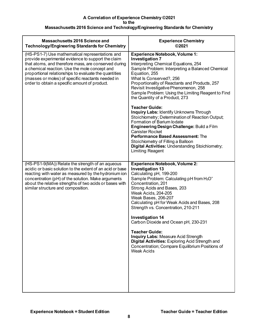| <b>Massachusetts 2016 Science and</b><br><b>Technology/Engineering Standards for Chemistry</b>                                                                                                                                                                                                                                                                                | <b>Experience Chemistry</b><br>©2021                                                                                                                                                                                                                                                                                                                                                                                                                                                                                                                                                                                                                                                                                                                                                      |
|-------------------------------------------------------------------------------------------------------------------------------------------------------------------------------------------------------------------------------------------------------------------------------------------------------------------------------------------------------------------------------|-------------------------------------------------------------------------------------------------------------------------------------------------------------------------------------------------------------------------------------------------------------------------------------------------------------------------------------------------------------------------------------------------------------------------------------------------------------------------------------------------------------------------------------------------------------------------------------------------------------------------------------------------------------------------------------------------------------------------------------------------------------------------------------------|
| (HS-PS1-7) Use mathematical representations and<br>provide experimental evidence to support the claim<br>that atoms, and therefore mass, are conserved during<br>a chemical reaction. Use the mole concept and<br>proportional relationships to evaluate the quantities<br>(masses or moles) of specific reactants needed in<br>order to obtain a specific amount of product. | <b>Experience Notebook, Volume 1:</b><br><b>Investigation 7</b><br>Interpreting Chemical Equations, 254<br>Sample Problem: Interpreting a Balanced Chemical<br>Equation, 255<br>What Is Conserved?, 256<br>Proportionality of Reactants and Products, 257<br>Revisit Investigative Phenomenon, 258<br>Sample Problem: Using the Limiting Reagent to Find<br>the Quantity of a Product, 273<br><b>Teacher Guide:</b><br>Inquiry Labs: Identify Unknowns Through<br>Stoichiometry; Determination of Reaction Output;<br>Formation of Barium lodate<br>Engineering Design Challenge: Build a Film<br><b>Canister Rocket</b><br><b>Performance Based Assessment: The</b><br>Stoichiometry of Filling a Balloon<br><b>Digital Activities: Understanding Stoichiometry;</b><br>Limiting Reagent |
| (HS-PS1-9(MA)) Relate the strength of an aqueous<br>acidic or basic solution to the extent of an acid or base<br>reacting with water as measured by the hydronium ion<br>concentration (pH) of the solution. Make arguments<br>about the relative strengths of two acids or bases with<br>similar structure and composition.                                                  | <b>Experience Notebook, Volume 2:</b><br><b>Investigation 13</b><br>Calculating pH, 199-200<br>Sample Problem: Calculating pH from H <sub>3</sub> O <sup>+</sup><br>Concentration, 201<br>Strong Acids and Bases, 203<br>Weak Acids, 204-205<br>Weak Bases, 206-207<br>Calculating pH for Weak Acids and Bases, 208<br>Strength vs. Concentration, 210-211<br><b>Investigation 14</b><br>Carbon Dioxide and Ocean pH, 230-231<br><b>Teacher Guide:</b><br>Inquiry Labs: Measure Acid Strength<br>Digital Activities: Exploring Acid Strength and<br>Concentration; Compare Equilibrium Positions of<br><b>Weak Acids</b>                                                                                                                                                                  |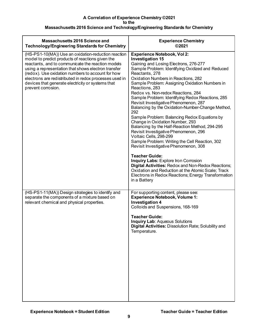| <b>Massachusetts 2016 Science and</b><br><b>Technology/Engineering Standards for Chemistry</b>                                                                                                                                                                                                                                                                                                                | <b>Experience Chemistry</b><br>©2021                                                                                                                                                                                                                                                                                                                                                                                                                                                                                                                                                                                                                                                                                                                                                                                                                                                                                                                                                                                                         |
|---------------------------------------------------------------------------------------------------------------------------------------------------------------------------------------------------------------------------------------------------------------------------------------------------------------------------------------------------------------------------------------------------------------|----------------------------------------------------------------------------------------------------------------------------------------------------------------------------------------------------------------------------------------------------------------------------------------------------------------------------------------------------------------------------------------------------------------------------------------------------------------------------------------------------------------------------------------------------------------------------------------------------------------------------------------------------------------------------------------------------------------------------------------------------------------------------------------------------------------------------------------------------------------------------------------------------------------------------------------------------------------------------------------------------------------------------------------------|
| (HS-PS1-10(MA)) Use an oxidation-reduction reaction<br>model to predict products of reactions given the<br>reactants, and to communicate the reaction models<br>using a representation that shows electron transfer<br>(redox). Use oxidation numbers to account for how<br>electrons are redistributed in redox processes used in<br>devices that generate electricity or systems that<br>prevent corrosion. | Experience Notebook, Vol 2:<br><b>Investigation 15</b><br>Gaining and Losing Electrons, 276-277<br>Sample Problem: Identifying Oxidized and Reduced<br>Reactants, 278<br>Oxidation Numbers in Reactions, 282<br>Sample Problem: Assigning Oxidation Numbers in<br>Reactions, 283<br>Redox vs. Non-redox Reactions, 284<br>Sample Problem: Identifying Redox Reactions, 285<br>Revisit Investigative Phenomenon, 287<br>Balancing by the Oxidation-Number-Change Method,<br>292<br>Sample Problem: Balancing Redox Equations by<br>Change in Oxidation Number, 293<br>Balancing by the Half-Reaction Method, 294-295<br>Revisit Investigative Phenomenon, 296<br>Voltaic Cells, 298-299<br>Sample Problem: Writing the Cell Reaction, 302<br>Revisit Investigative Phenomenon, 308<br><b>Teacher Guide:</b><br><b>Inquiry Labs: Explore Iron Corrosion</b><br>Digital Activities: Redox and Non-Redox Reactions;<br>Oxidation and Reduction at the Atomic Scale; Track<br>Electrons in Redox Reactions; Energy Transformation<br>in a Battery |
| (HS-PS1-11(MA)) Design strategies to identify and<br>separate the components of a mixture based on<br>relevant chemical and physical properties.                                                                                                                                                                                                                                                              | For supporting content, please see:<br><b>Experience Notebook, Volume 1:</b><br><b>Investigation 4</b><br>Colloids and Suspensions, 168-169<br><b>Teacher Guide:</b><br><b>Inquiry Lab: Aqueous Solutions</b><br>Digital Activities: Dissolution Rate; Solubility and<br>Temperature.                                                                                                                                                                                                                                                                                                                                                                                                                                                                                                                                                                                                                                                                                                                                                        |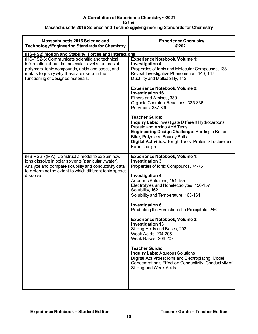| <b>Massachusetts 2016 Science and</b><br><b>Technology/Engineering Standards for Chemistry</b>                                                                                                                                                   | <b>Experience Chemistry</b><br>©2021                                                                                                                                                                                                                                                                                                                                                                                                                                                                                                                                                                                                                                                                             |
|--------------------------------------------------------------------------------------------------------------------------------------------------------------------------------------------------------------------------------------------------|------------------------------------------------------------------------------------------------------------------------------------------------------------------------------------------------------------------------------------------------------------------------------------------------------------------------------------------------------------------------------------------------------------------------------------------------------------------------------------------------------------------------------------------------------------------------------------------------------------------------------------------------------------------------------------------------------------------|
| (HS-PS2) Motion and Stability: Forces and Interactions                                                                                                                                                                                           |                                                                                                                                                                                                                                                                                                                                                                                                                                                                                                                                                                                                                                                                                                                  |
| (HS-PS2-6) Communicate scientific and technical<br>information about the molecular-level structures of<br>polymers, ionic compounds, acids and bases, and<br>metals to justify why these are useful in the<br>functioning of designed materials. | <b>Experience Notebook, Volume 1:</b><br><b>Investigation 4</b><br>Properties of Ionic and Molecular Compounds, 138<br>Revisit Investigative Phenomenon, 140, 147<br>Ductility and Malleability, 142                                                                                                                                                                                                                                                                                                                                                                                                                                                                                                             |
|                                                                                                                                                                                                                                                  | <b>Experience Notebook, Volume 2:</b><br><b>Investigation 16</b><br>Ethers and Amines, 330<br>Organic Chemical Reactions, 335-336<br>Polymers, 337-339                                                                                                                                                                                                                                                                                                                                                                                                                                                                                                                                                           |
|                                                                                                                                                                                                                                                  | <b>Teacher Guide:</b><br>Inquiry Labs: Investigate Different Hydrocarbons;<br><b>Protein and Amino Acid Tests</b><br><b>Engineering Design Challenge: Building a Better</b><br>Bike; Polymers: Bouncy Balls<br>Digital Activities: Tough Tools; Protein Structure and<br><b>Food Design</b>                                                                                                                                                                                                                                                                                                                                                                                                                      |
| (HS-PS2-7(MA)) Construct a model to explain how<br>ions dissolve in polar solvents (particularly water).<br>Analyze and compare solubility and conductivity data<br>to determine the extent to which different ionic species<br>dissolve.        | <b>Experience Notebook, Volume 1:</b><br>Investigation 3<br>Properties of Ionic Compounds, 74-75<br><b>Investigation 4</b><br>Aqueous Solutions, 154-155<br>Electrolytes and Nonelectrolytes, 156-157<br>Solubility, 162<br>Solubility and Temperature, 163-164<br><b>Investigation 6</b><br>Predicting the Formation of a Precipitate, 246<br><b>Experience Notebook, Volume 2:</b><br><b>Investigation 13</b><br>Strong Acids and Bases, 203<br>Weak Acids, 204-205<br>Weak Bases, 206-207<br><b>Teacher Guide:</b><br><b>Inquiry Labs: Aqueous Solutions</b><br>Digital Activities: lons and Electroplating; Model<br>Concentration's Effect on Conductivity; Conductivity of<br><b>Strong and Weak Acids</b> |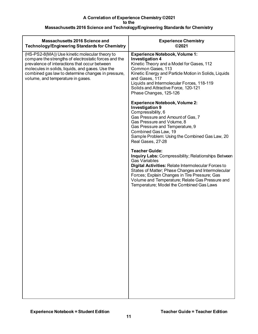| Massachusetts 2016 Science and<br><b>Technology/Engineering Standards for Chemistry</b>                                                                                                                                                                                                                 | <b>Experience Chemistry</b><br>©2021                                                                                                                                                                                                                                                                                                                                             |
|---------------------------------------------------------------------------------------------------------------------------------------------------------------------------------------------------------------------------------------------------------------------------------------------------------|----------------------------------------------------------------------------------------------------------------------------------------------------------------------------------------------------------------------------------------------------------------------------------------------------------------------------------------------------------------------------------|
| (HS-PS2-8(MA)) Use kinetic molecular theory to<br>compare the strengths of electrostatic forces and the<br>prevalence of interactions that occur between<br>molecules in solids, liquids, and gases. Use the<br>combined gas law to determine changes in pressure,<br>volume, and temperature in gases. | <b>Experience Notebook, Volume 1:</b><br><b>Investigation 4</b><br>Kinetic Theory and a Model for Gases, 112<br>Common Gases, 113<br>Kinetic Energy and Particle Motion in Solids, Liquids<br>and Gases, 117<br>Liquids and Intermolecular Forces, 118-119<br>Solids and Attractive Force, 120-121<br>Phase Changes, 125-126                                                     |
|                                                                                                                                                                                                                                                                                                         | <b>Experience Notebook, Volume 2:</b><br><b>Investigation 9</b><br>Compressibility, 6<br>Gas Pressure and Amount of Gas, 7<br>Gas Pressure and Volume, 8<br>Gas Pressure and Temperature, 9<br>Combined Gas Law, 19<br>Sample Problem: Using the Combined Gas Law, 20<br>Real Gases, 27-28                                                                                       |
|                                                                                                                                                                                                                                                                                                         | <b>Teacher Guide:</b><br><b>Inquiry Labs: Compressibility; Relationships Between</b><br><b>Gas Variables</b><br><b>Digital Activities: Relate Intermolecular Forces to</b><br>States of Matter; Phase Changes and Intermolecular<br>Forces; Explain Changes in Tire Pressure; Gas<br>Volume and Temperature; Relate Gas Pressure and<br>Temperature; Model the Combined Gas Laws |
|                                                                                                                                                                                                                                                                                                         |                                                                                                                                                                                                                                                                                                                                                                                  |
|                                                                                                                                                                                                                                                                                                         |                                                                                                                                                                                                                                                                                                                                                                                  |